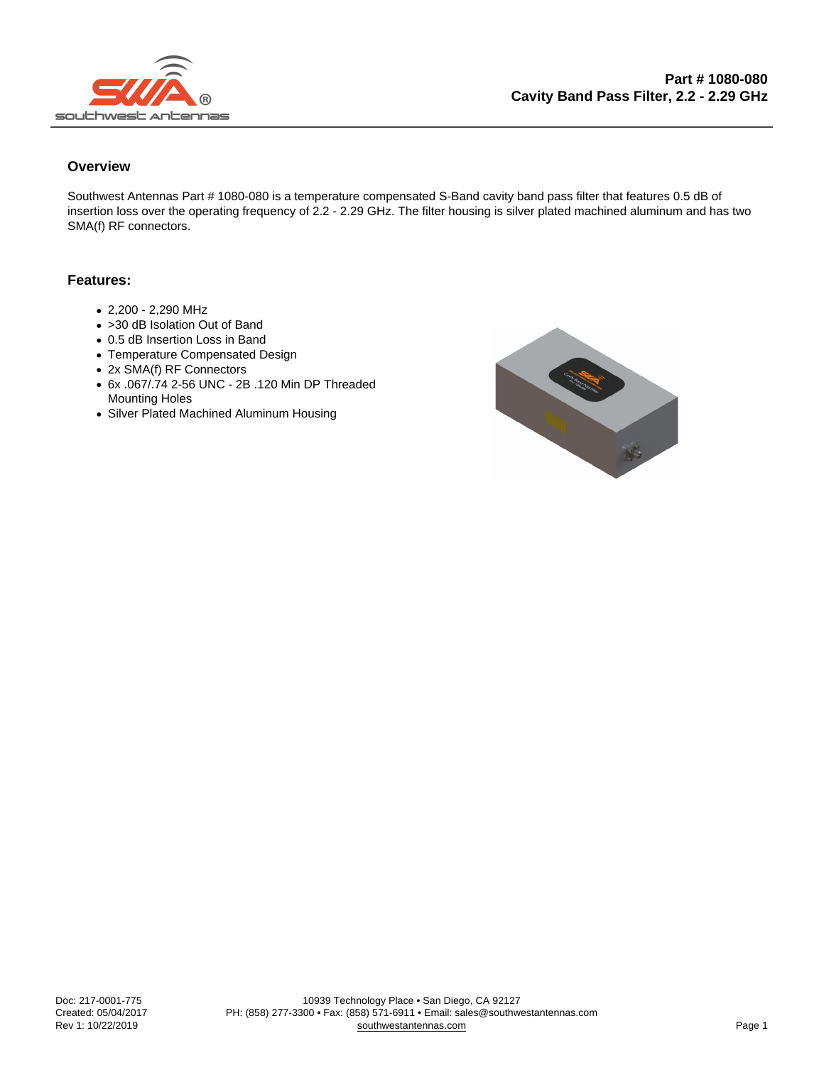## **Overview**

Southwest Antennas Part # 1080-080 is a temperature compensated S-Band cavity band pass filter that features 0.5 dB of insertion loss over the operating frequency of 2.2 - 2.29 GHz. The filter housing is silver plated machined aluminum and has two SMA(f) RF connectors.

## Features:

- 2,200 2,290 MHz
- >30 dB Isolation Out of Band
- 0.5 dB Insertion Loss in Band
- Temperature Compensated Design
- 2x SMA(f) RF Connectors
- 6x .067/.74 2-56 UNC 2B .120 Min DP Threaded Mounting Holes
- Silver Plated Machined Aluminum Housing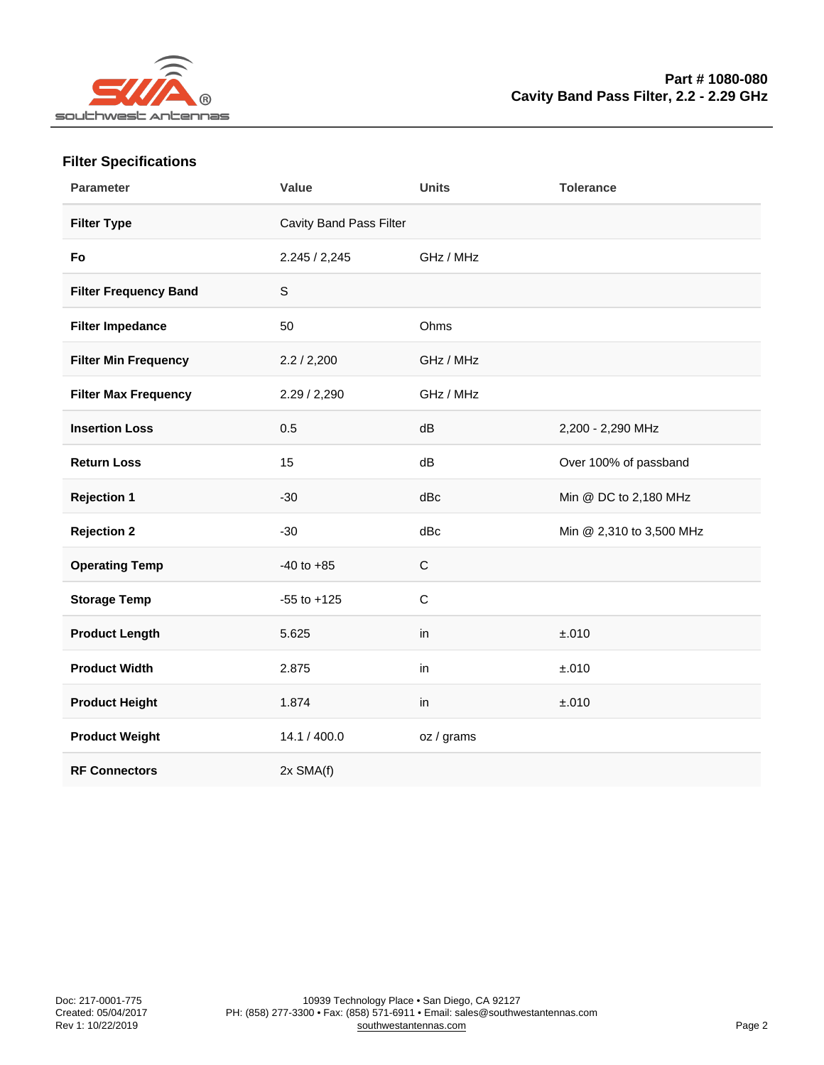## Filter Specifications

| Parameter             | Value                   | Units       | Tolerance                |
|-----------------------|-------------------------|-------------|--------------------------|
| Filter Type           | Cavity Band Pass Filter |             |                          |
| Fo                    | 2.245 / 2,245           | GHz / MHz   |                          |
| Filter Frequency Band | S                       |             |                          |
| Filter Impedance      | 50                      | Ohms        |                          |
| Filter Min Frequency  | 2.2 / 2,200             | GHz / MHz   |                          |
| Filter Max Frequency  | 2.29 / 2,290            | GHz / MHz   |                          |
| <b>Insertion Loss</b> | 0.5                     | dB          | 2,200 - 2,290 MHz        |
| Return Loss           | 15                      | dB          | Over 100% of passband    |
| Rejection 1           | $-30$                   | dBc         | Min @ DC to 2,180 MHz    |
| Rejection 2           | $-30$                   | dBc         | Min @ 2,310 to 3,500 MHz |
| <b>Operating Temp</b> | $-40$ to $+85$          | $\mathsf C$ |                          |
| Storage Temp          | $-55$ to $+125$         | $\mathsf C$ |                          |
| Product Length        | 5.625                   | in          | ±.010                    |
| <b>Product Width</b>  | 2.875                   | in          | ±.010                    |
| Product Height        | 1.874                   | in          | ±.010                    |
| Product Weight        | 14.1 / 400.0            | oz / grams  |                          |
| <b>RF Connectors</b>  | 2x SMA(f)               |             |                          |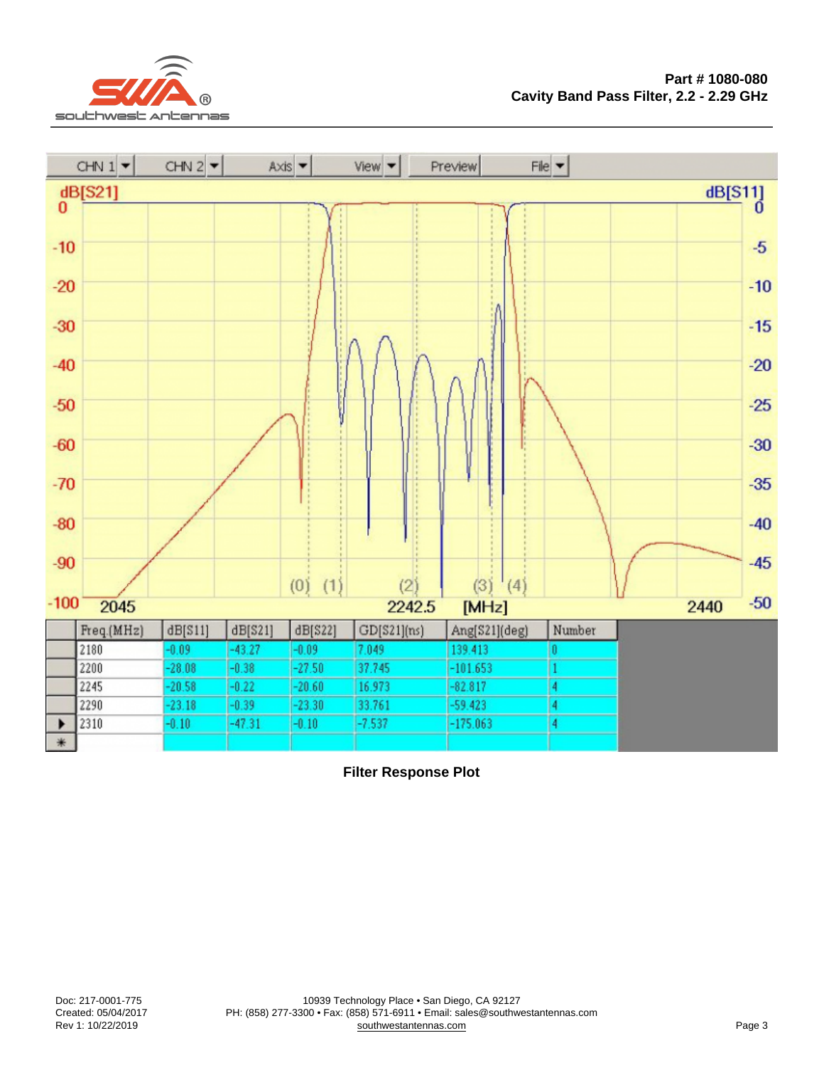Filter Response Plot